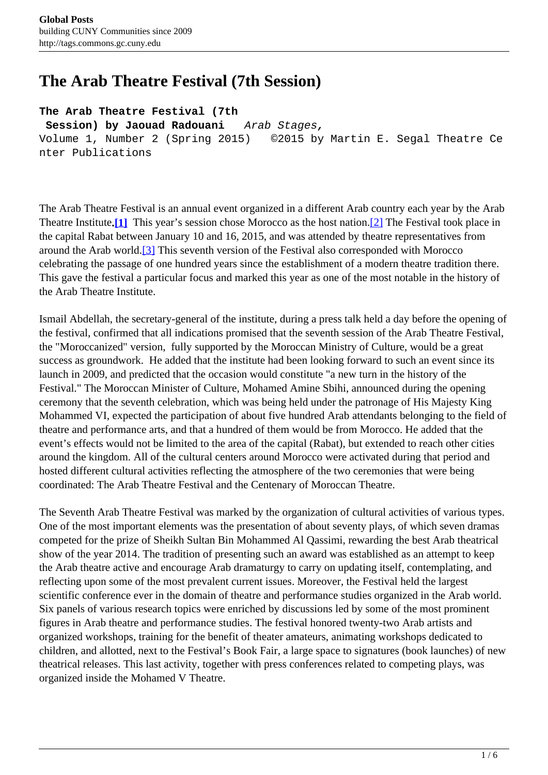## <span id="page-0-0"></span>**The Arab Theatre Festival (7th Session)**

**The Arab Theatre Festival (7th**

 **Session) by Jaouad Radouani** Arab Stages**,**  Volume 1, Number 2 (Spring 2015) ©2015 by Martin E. Segal Theatre Ce nter Publications

The Arab Theatre Festival is an annual event organized in a different Arab country each year by the Arab Theatre Institute**.[\[1\]](#page-0-0)** This year's session chose Morocco as the host nation[.\[2\]](#page-0-0) The Festival took place in the capital Rabat between January 10 and 16, 2015, and was attended by theatre representatives from around the Arab world[.\[3\]](#page-0-0) This seventh version of the Festival also corresponded with Morocco celebrating the passage of one hundred years since the establishment of a modern theatre tradition there. This gave the festival a particular focus and marked this year as one of the most notable in the history of the Arab Theatre Institute.

Ismail Abdellah, the secretary-general of the institute, during a press talk held a day before the opening of the festival, confirmed that all indications promised that the seventh session of the Arab Theatre Festival, the "Moroccanized" version, fully supported by the Moroccan Ministry of Culture, would be a great success as groundwork. He added that the institute had been looking forward to such an event since its launch in 2009, and predicted that the occasion would constitute "a new turn in the history of the Festival." The Moroccan Minister of Culture, Mohamed Amine Sbihi, announced during the opening ceremony that the seventh celebration, which was being held under the patronage of His Majesty King Mohammed VI, expected the participation of about five hundred Arab attendants belonging to the field of theatre and performance arts, and that a hundred of them would be from Morocco. He added that the event's effects would not be limited to the area of the capital (Rabat), but extended to reach other cities around the kingdom. All of the cultural centers around Morocco were activated during that period and hosted different cultural activities reflecting the atmosphere of the two ceremonies that were being coordinated: The Arab Theatre Festival and the Centenary of Moroccan Theatre.

The Seventh Arab Theatre Festival was marked by the organization of cultural activities of various types. One of the most important elements was the presentation of about seventy plays, of which seven dramas competed for the prize of Sheikh Sultan Bin Mohammed Al Qassimi, rewarding the best Arab theatrical show of the year 2014. The tradition of presenting such an award was established as an attempt to keep the Arab theatre active and encourage Arab dramaturgy to carry on updating itself, contemplating, and reflecting upon some of the most prevalent current issues. Moreover, the Festival held the largest scientific conference ever in the domain of theatre and performance studies organized in the Arab world. Six panels of various research topics were enriched by discussions led by some of the most prominent figures in Arab theatre and performance studies. The festival honored twenty-two Arab artists and organized workshops, training for the benefit of theater amateurs, animating workshops dedicated to children, and allotted, next to the Festival's Book Fair, a large space to signatures (book launches) of new theatrical releases. This last activity, together with press conferences related to competing plays, was organized inside the Mohamed V Theatre.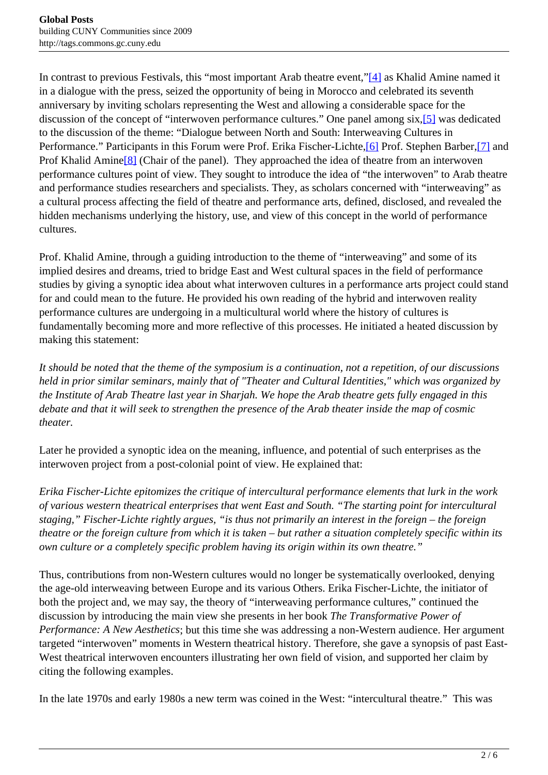<span id="page-1-0"></span>In contrast to previous Festivals, this "most important Arab theatre event,"<sup>[4]</sup> as Khalid Amine named it in a dialogue with the press, seized the opportunity of being in Morocco and celebrated its seventh anniversary by inviting scholars representing the West and allowing a considerable space for the discussion of the concept of "interwoven performance cultures." One panel among six[,\[5\]](#page-1-0) was dedicated to the discussion of the theme: "Dialogue between North and South: Interweaving Cultures in Performance." Participants in this Forum were Prof. Erika Fischer-Lichte, [6] Prof. Stephen Barber, [7] and Prof Khalid Amine<sup>[8]</sup> (Chair of the panel). They approached the idea of theatre from an interwoven performance cultures point of view. They sought to introduce the idea of "the interwoven" to Arab theatre and performance studies researchers and specialists. They, as scholars concerned with "interweaving" as a cultural process affecting the field of theatre and performance arts, defined, disclosed, and revealed the hidden mechanisms underlying the history, use, and view of this concept in the world of performance cultures.

Prof. Khalid Amine, through a guiding introduction to the theme of "interweaving" and some of its implied desires and dreams, tried to bridge East and West cultural spaces in the field of performance studies by giving a synoptic idea about what interwoven cultures in a performance arts project could stand for and could mean to the future. He provided his own reading of the hybrid and interwoven reality performance cultures are undergoing in a multicultural world where the history of cultures is fundamentally becoming more and more reflective of this processes. He initiated a heated discussion by making this statement:

*It should be noted that the theme of the symposium is a continuation, not a repetition, of our discussions held in prior similar seminars, mainly that of "Theater and Cultural Identities," which was organized by the Institute of Arab Theatre last year in Sharjah. We hope the Arab theatre gets fully engaged in this debate and that it will seek to strengthen the presence of the Arab theater inside the map of cosmic theater.*

Later he provided a synoptic idea on the meaning, influence, and potential of such enterprises as the interwoven project from a post-colonial point of view. He explained that:

*Erika Fischer-Lichte epitomizes the critique of intercultural performance elements that lurk in the work of various western theatrical enterprises that went East and South. "The starting point for intercultural staging," Fischer-Lichte rightly argues, "is thus not primarily an interest in the foreign – the foreign theatre or the foreign culture from which it is taken – but rather a situation completely specific within its own culture or a completely specific problem having its origin within its own theatre."*

Thus, contributions from non-Western cultures would no longer be systematically overlooked, denying the age-old interweaving between Europe and its various Others. Erika Fischer-Lichte, the initiator of both the project and, we may say, the theory of "interweaving performance cultures," continued the discussion by introducing the main view she presents in her book *The Transformative Power of Performance: A New Aesthetics*; but this time she was addressing a non-Western audience. Her argument targeted "interwoven" moments in Western theatrical history. Therefore, she gave a synopsis of past East-West theatrical interwoven encounters illustrating her own field of vision, and supported her claim by citing the following examples.

In the late 1970s and early 1980s a new term was coined in the West: "intercultural theatre." This was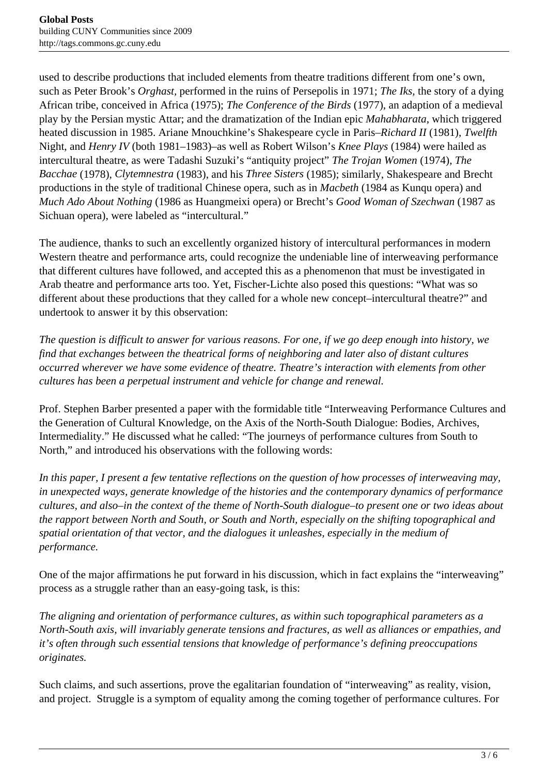used to describe productions that included elements from theatre traditions different from one's own, such as Peter Brook's *Orghast,* performed in the ruins of Persepolis in 1971; *The Iks,* the story of a dying African tribe, conceived in Africa (1975); *The Conference of the Birds* (1977), an adaption of a medieval play by the Persian mystic Attar; and the dramatization of the Indian epic *Mahabharata*, which triggered heated discussion in 1985. Ariane Mnouchkine's Shakespeare cycle in Paris–*Richard II* (1981), *Twelfth* Night, and *Henry IV* (both 1981–1983)–as well as Robert Wilson's *Knee Plays* (1984) were hailed as intercultural theatre, as were Tadashi Suzuki's "antiquity project" *The Trojan Women* (1974), *The Bacchae* (1978), *Clytemnestra* (1983), and his *Three Sisters* (1985); similarly, Shakespeare and Brecht productions in the style of traditional Chinese opera, such as in *Macbeth* (1984 as Kunqu opera) and *Much Ado About Nothing* (1986 as Huangmeixi opera) or Brecht's *Good Woman of Szechwan* (1987 as Sichuan opera), were labeled as "intercultural."

The audience, thanks to such an excellently organized history of intercultural performances in modern Western theatre and performance arts, could recognize the undeniable line of interweaving performance that different cultures have followed, and accepted this as a phenomenon that must be investigated in Arab theatre and performance arts too. Yet, Fischer-Lichte also posed this questions: "What was so different about these productions that they called for a whole new concept–intercultural theatre?" and undertook to answer it by this observation:

*The question is difficult to answer for various reasons. For one, if we go deep enough into history, we find that exchanges between the theatrical forms of neighboring and later also of distant cultures occurred wherever we have some evidence of theatre. Theatre's interaction with elements from other cultures has been a perpetual instrument and vehicle for change and renewal.*

Prof. Stephen Barber presented a paper with the formidable title "Interweaving Performance Cultures and the Generation of Cultural Knowledge, on the Axis of the North-South Dialogue: Bodies, Archives, Intermediality." He discussed what he called: "The journeys of performance cultures from South to North," and introduced his observations with the following words:

*In this paper, I present a few tentative reflections on the question of how processes of interweaving may, in unexpected ways, generate knowledge of the histories and the contemporary dynamics of performance cultures, and also–in the context of the theme of North-South dialogue–to present one or two ideas about the rapport between North and South, or South and North, especially on the shifting topographical and spatial orientation of that vector, and the dialogues it unleashes, especially in the medium of performance.*

One of the major affirmations he put forward in his discussion, which in fact explains the "interweaving" process as a struggle rather than an easy-going task, is this:

*The aligning and orientation of performance cultures, as within such topographical parameters as a North-South axis, will invariably generate tensions and fractures, as well as alliances or empathies, and it's often through such essential tensions that knowledge of performance's defining preoccupations originates.*

Such claims, and such assertions, prove the egalitarian foundation of "interweaving" as reality, vision, and project. Struggle is a symptom of equality among the coming together of performance cultures. For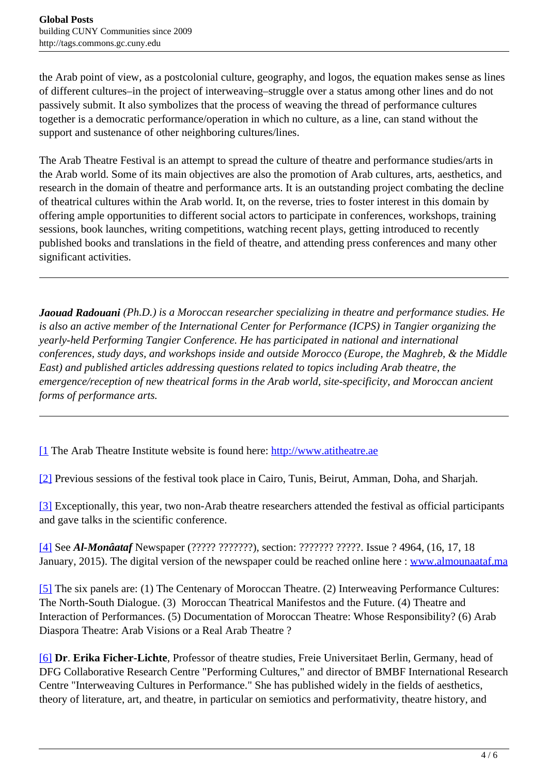<span id="page-3-0"></span>the Arab point of view, as a postcolonial culture, geography, and logos, the equation makes sense as lines of different cultures–in the project of interweaving–struggle over a status among other lines and do not passively submit. It also symbolizes that the process of weaving the thread of performance cultures together is a democratic performance/operation in which no culture, as a line, can stand without the support and sustenance of other neighboring cultures/lines.

The Arab Theatre Festival is an attempt to spread the culture of theatre and performance studies/arts in the Arab world. Some of its main objectives are also the promotion of Arab cultures, arts, aesthetics, and research in the domain of theatre and performance arts. It is an outstanding project combating the decline of theatrical cultures within the Arab world. It, on the reverse, tries to foster interest in this domain by offering ample opportunities to different social actors to participate in conferences, workshops, training sessions, book launches, writing competitions, watching recent plays, getting introduced to recently published books and translations in the field of theatre, and attending press conferences and many other significant activities.

*Jaouad Radouani (Ph.D.) is a Moroccan researcher specializing in theatre and performance studies. He is also an active member of the International Center for Performance (ICPS) in Tangier organizing the yearly-held Performing Tangier Conference. He has participated in national and international conferences, study days, and workshops inside and outside Morocco (Europe, the Maghreb, & the Middle East) and published articles addressing questions related to topics including Arab theatre, the emergence/reception of new theatrical forms in the Arab world, site-specificity, and Moroccan ancient forms of performance arts.*

[\[1](#page-3-0) The Arab Theatre Institute website is found here: <http://www.atitheatre.ae>

[\[2\]](#page-3-0) Previous sessions of the festival took place in Cairo, Tunis, Beirut, Amman, Doha, and Sharjah.

[\[3\]](#page-3-0) Exceptionally, this year, two non-Arab theatre researchers attended the festival as official participants and gave talks in the scientific conference.

[\[4\]](#page-3-0) See *Al-Monâataf* Newspaper (????? ???????), section: ??????? ?????. Issue ? 4964, (16, 17, 18 January, 2015). The digital version of the newspaper could be reached online here : [www.almounaataf.ma](http://www.almounaataf.ma)

[\[5\]](#page-3-0) The six panels are: (1) The Centenary of Moroccan Theatre. (2) Interweaving Performance Cultures: The North-South Dialogue. (3) Moroccan Theatrical Manifestos and the Future. (4) Theatre and Interaction of Performances. (5) Documentation of Moroccan Theatre: Whose Responsibility? (6) Arab Diaspora Theatre: Arab Visions or a Real Arab Theatre ?

[\[6\]](#page-3-0) **Dr**. **Erika Ficher-Lichte**, Professor of theatre studies, Freie Universitaet Berlin, Germany, head of DFG Collaborative Research Centre "Performing Cultures," and director of BMBF International Research Centre "Interweaving Cultures in Performance." She has published widely in the fields of aesthetics, theory of literature, art, and theatre, in particular on semiotics and performativity, theatre history, and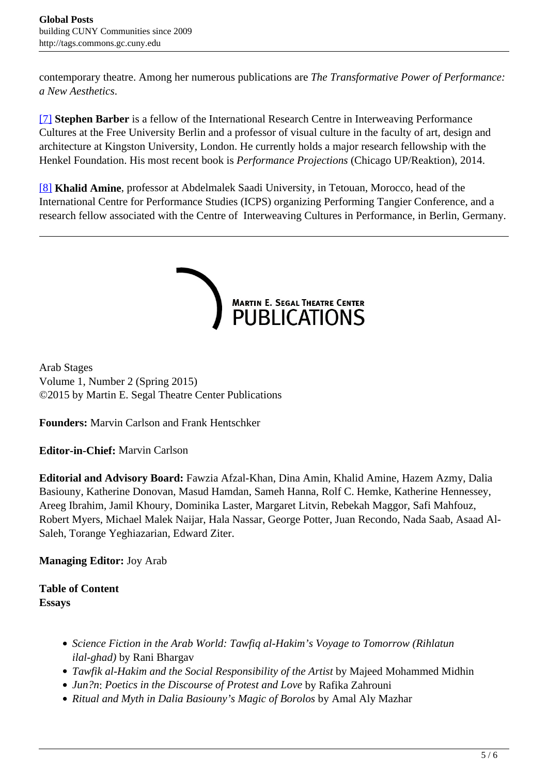<span id="page-4-0"></span>contemporary theatre. Among her numerous publications are *The Transformative Power of Performance: a New Aesthetics*.

[\[7\]](#page-4-0) **Stephen Barber** is a fellow of the International Research Centre in Interweaving Performance Cultures at the Free University Berlin and a professor of visual culture in the faculty of art, design and architecture at Kingston University, London. He currently holds a major research fellowship with the Henkel Foundation. His most recent book is *Performance Projections* (Chicago UP/Reaktion), 2014.

[\[8\]](#page-4-0) **Khalid Amine**, professor at Abdelmalek Saadi University, in Tetouan, Morocco, head of the International Centre for Performance Studies (ICPS) organizing Performing Tangier Conference, and a research fellow associated with the Centre of Interweaving Cultures in Performance, in Berlin, Germany.



Arab Stages Volume 1, Number 2 (Spring 2015) ©2015 by Martin E. Segal Theatre Center Publications

**Founders:** Marvin Carlson and Frank Hentschker

**Editor-in-Chief:** Marvin Carlson

**Editorial and Advisory Board:** Fawzia Afzal-Khan, Dina Amin, Khalid Amine, Hazem Azmy, Dalia Basiouny, Katherine Donovan, Masud Hamdan, Sameh Hanna, Rolf C. Hemke, Katherine Hennessey, Areeg Ibrahim, Jamil Khoury, Dominika Laster, Margaret Litvin, Rebekah Maggor, Safi Mahfouz, Robert Myers, Michael Malek Naijar, Hala Nassar, George Potter, Juan Recondo, Nada Saab, Asaad Al-Saleh, Torange Yeghiazarian, Edward Ziter.

**Managing Editor:** Joy Arab

**Table of Content Essays**

- *Science Fiction in the Arab World: Tawfiq al-Hakim's Voyage to Tomorrow (Rihlatun ilal-ghad)* by Rani Bhargav
- *Tawfik al-Hakim and the Social Responsibility of the Artist* by Majeed Mohammed Midhin
- *Jun?n*: *Poetics in the Discourse of Protest and Love* by Rafika Zahrouni
- *Ritual and Myth in Dalia Basiouny's Magic of Borolos* by Amal Aly Mazhar